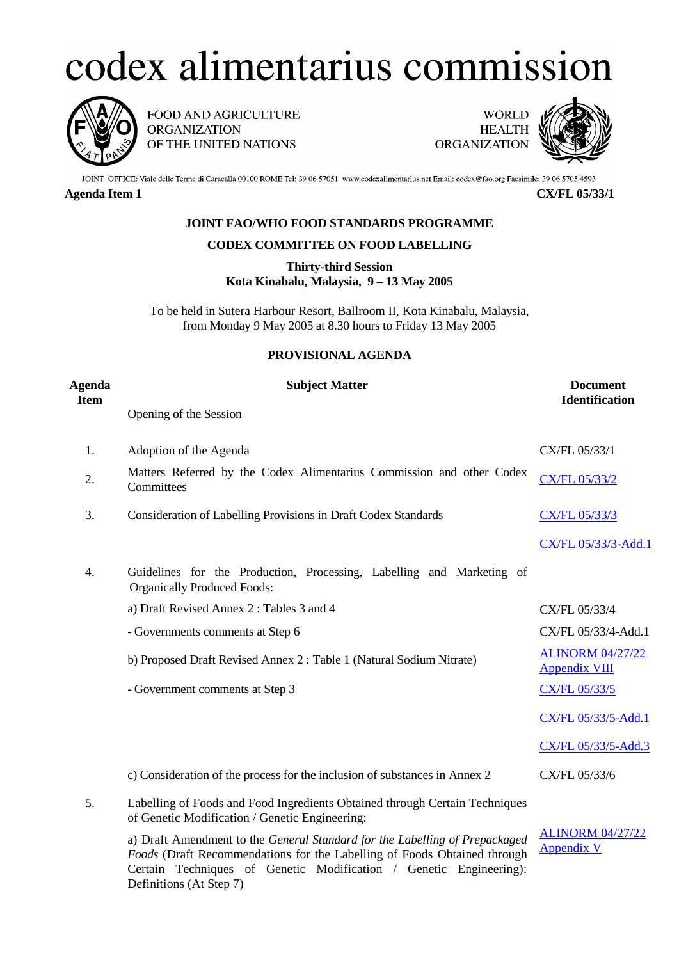## codex alimentarius commission



FOOD AND AGRICULTURE **ORGANIZATION** OF THE UNITED NATIONS

**WORLD HEALTH ORGANIZATION** 



JOINT OFFICE: Viale delle Terme di Caracalla 00100 ROME Tel: 39 06 57051 www.codexalimentarius.net Email: codex@fao.org Facsimile: 39 06 5705 4593

**Agenda Item 1 CX/FL 05/33/1**

## **JOINT FAO/WHO FOOD STANDARDS PROGRAMME**

## **CODEX COMMITTEE ON FOOD LABELLING**

**Thirty-third Session Kota Kinabalu, Malaysia, 9 – 13 May 2005**

To be held in Sutera Harbour Resort, Ballroom II, Kota Kinabalu, Malaysia, from Monday 9 May 2005 at 8.30 hours to Friday 13 May 2005

## **PROVISIONAL AGENDA**

| <b>Agenda</b><br><b>Item</b> | <b>Subject Matter</b>                                                                                                                                                                                                         | <b>Document</b><br><b>Identification</b>        |
|------------------------------|-------------------------------------------------------------------------------------------------------------------------------------------------------------------------------------------------------------------------------|-------------------------------------------------|
|                              | Opening of the Session                                                                                                                                                                                                        |                                                 |
| 1.                           | Adoption of the Agenda                                                                                                                                                                                                        | CX/FL 05/33/1                                   |
| 2.                           | Matters Referred by the Codex Alimentarius Commission and other Codex<br>Committees                                                                                                                                           | CX/FL 05/33/2                                   |
| 3.                           | Consideration of Labelling Provisions in Draft Codex Standards                                                                                                                                                                | <b>CX/FL 05/33/3</b>                            |
|                              |                                                                                                                                                                                                                               | CX/FL 05/33/3-Add.1                             |
| 4.                           | Guidelines for the Production, Processing, Labelling and Marketing of<br><b>Organically Produced Foods:</b>                                                                                                                   |                                                 |
|                              | a) Draft Revised Annex 2: Tables 3 and 4                                                                                                                                                                                      | CX/FL 05/33/4                                   |
|                              | - Governments comments at Step 6                                                                                                                                                                                              | CX/FL 05/33/4-Add.1                             |
|                              | b) Proposed Draft Revised Annex 2: Table 1 (Natural Sodium Nitrate)                                                                                                                                                           | <b>ALINORM 04/27/22</b><br><b>Appendix VIII</b> |
|                              | - Government comments at Step 3                                                                                                                                                                                               | CX/FL 05/33/5                                   |
|                              |                                                                                                                                                                                                                               | CX/FL 05/33/5-Add.1                             |
|                              |                                                                                                                                                                                                                               | CX/FL 05/33/5-Add.3                             |
|                              | c) Consideration of the process for the inclusion of substances in Annex 2                                                                                                                                                    | CX/FL 05/33/6                                   |
| 5.                           | Labelling of Foods and Food Ingredients Obtained through Certain Techniques<br>of Genetic Modification / Genetic Engineering:                                                                                                 |                                                 |
|                              | a) Draft Amendment to the General Standard for the Labelling of Prepackaged<br>Foods (Draft Recommendations for the Labelling of Foods Obtained through<br>Certain Techniques of Genetic Modification / Genetic Engineering): | <b>ALINORM 04/27/22</b><br><b>Appendix V</b>    |

Definitions (At Step 7)